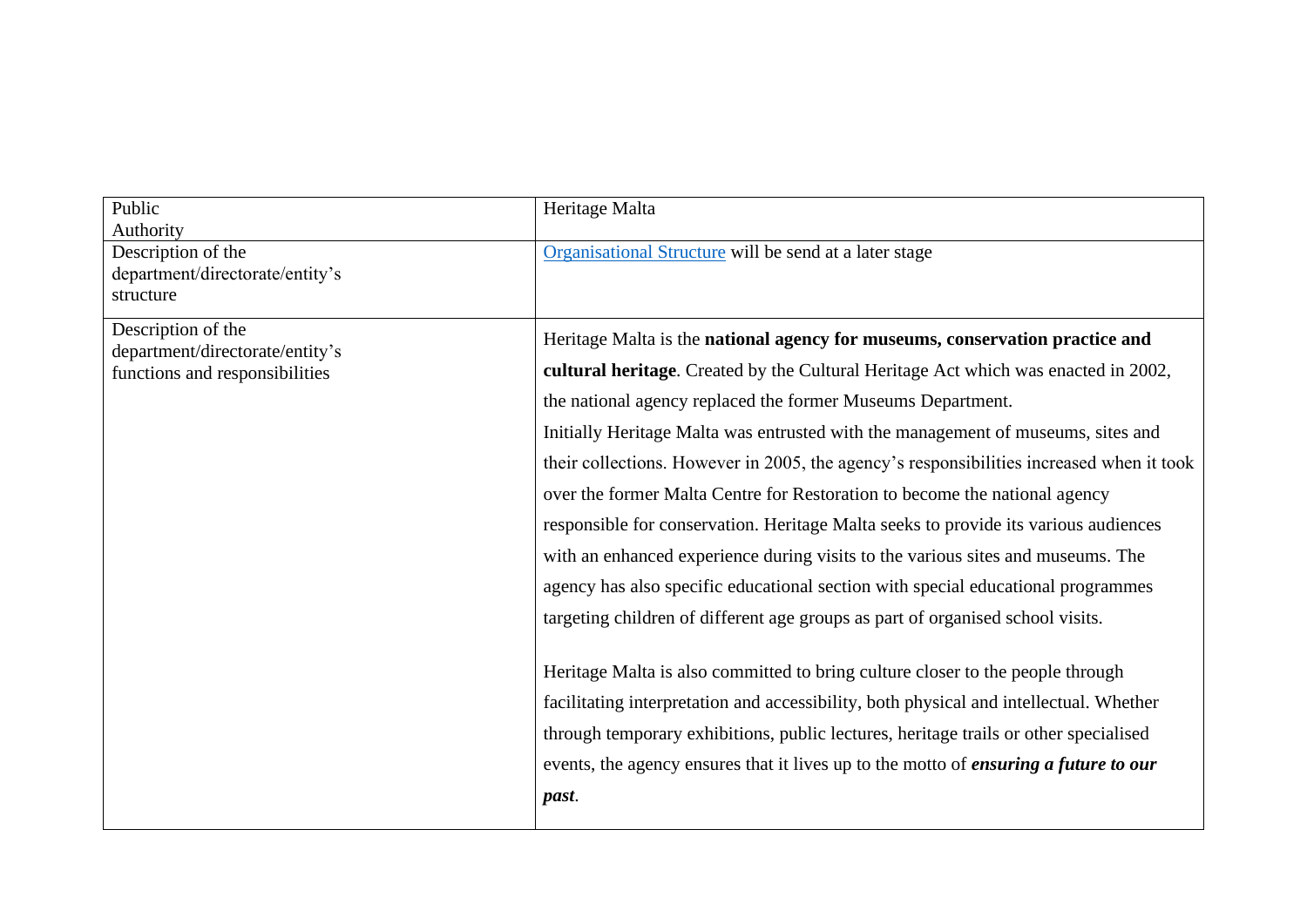| Public<br>Authority                                                                     | Heritage Malta                                                                                                                                                                                                                                                |
|-----------------------------------------------------------------------------------------|---------------------------------------------------------------------------------------------------------------------------------------------------------------------------------------------------------------------------------------------------------------|
| Description of the<br>department/directorate/entity's<br>structure                      | Organisational Structure will be send at a later stage                                                                                                                                                                                                        |
| Description of the<br>department/directorate/entity's<br>functions and responsibilities | Heritage Malta is the national agency for museums, conservation practice and<br>cultural heritage. Created by the Cultural Heritage Act which was enacted in 2002,                                                                                            |
|                                                                                         | the national agency replaced the former Museums Department.<br>Initially Heritage Malta was entrusted with the management of museums, sites and                                                                                                               |
|                                                                                         | their collections. However in 2005, the agency's responsibilities increased when it took<br>over the former Malta Centre for Restoration to become the national agency<br>responsible for conservation. Heritage Malta seeks to provide its various audiences |
|                                                                                         | with an enhanced experience during visits to the various sites and museums. The<br>agency has also specific educational section with special educational programmes                                                                                           |
|                                                                                         | targeting children of different age groups as part of organised school visits.<br>Heritage Malta is also committed to bring culture closer to the people through                                                                                              |
|                                                                                         | facilitating interpretation and accessibility, both physical and intellectual. Whether<br>through temporary exhibitions, public lectures, heritage trails or other specialised                                                                                |
|                                                                                         | events, the agency ensures that it lives up to the motto of <i>ensuring a future to our</i><br>past.                                                                                                                                                          |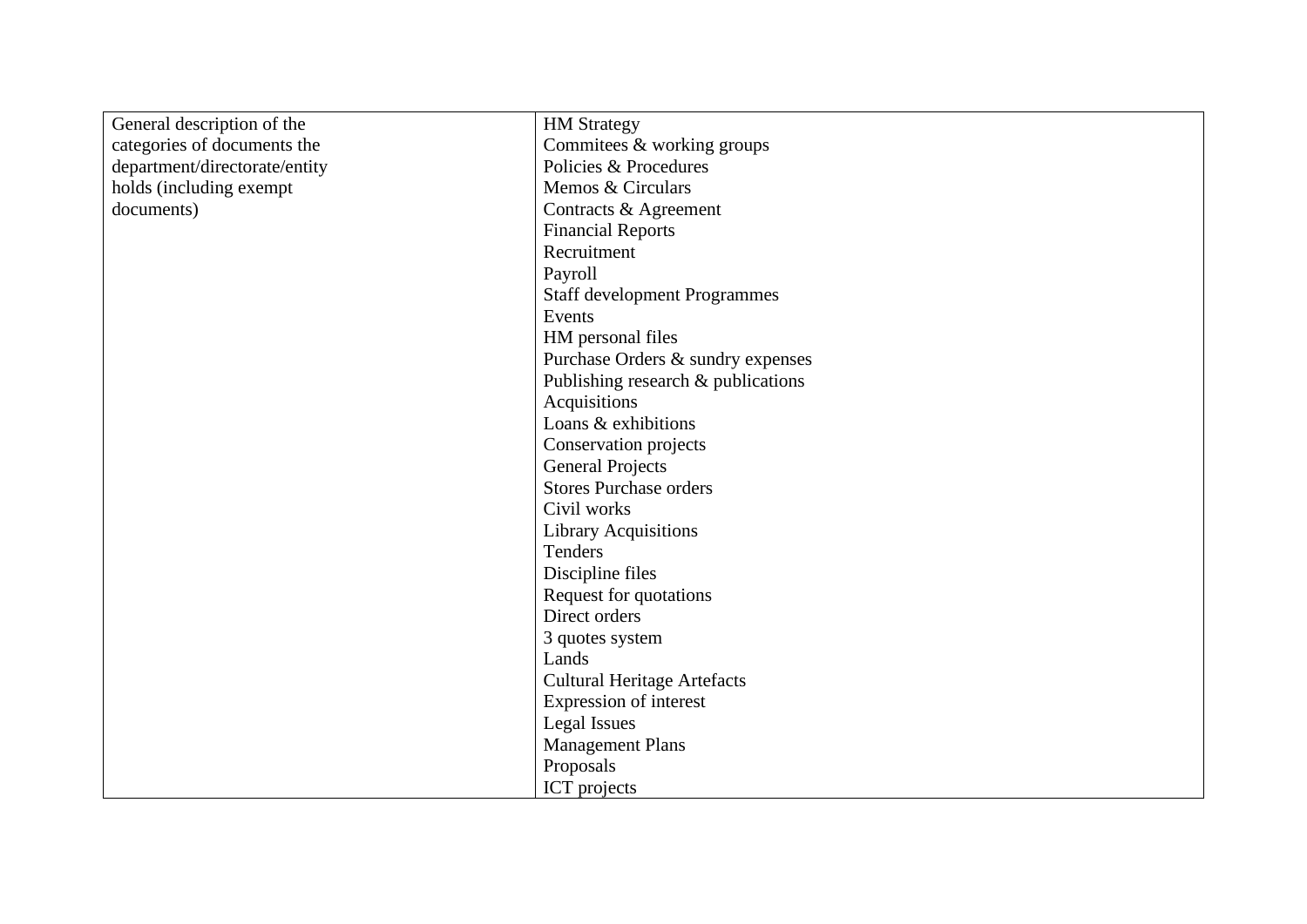| General description of the    | <b>HM Strategy</b>                  |
|-------------------------------|-------------------------------------|
| categories of documents the   | Commitees & working groups          |
| department/directorate/entity | Policies & Procedures               |
| holds (including exempt       | Memos & Circulars                   |
| documents)                    | Contracts & Agreement               |
|                               | <b>Financial Reports</b>            |
|                               | Recruitment                         |
|                               | Payroll                             |
|                               | <b>Staff development Programmes</b> |
|                               | Events                              |
|                               | HM personal files                   |
|                               | Purchase Orders & sundry expenses   |
|                               | Publishing research & publications  |
|                               | Acquisitions                        |
|                               | Loans & exhibitions                 |
|                               | Conservation projects               |
|                               | <b>General Projects</b>             |
|                               | <b>Stores Purchase orders</b>       |
|                               | Civil works                         |
|                               | <b>Library Acquisitions</b>         |
|                               | Tenders                             |
|                               | Discipline files                    |
|                               | Request for quotations              |
|                               | Direct orders                       |
|                               | 3 quotes system                     |
|                               | Lands                               |
|                               | <b>Cultural Heritage Artefacts</b>  |
|                               | Expression of interest              |
|                               | <b>Legal Issues</b>                 |
|                               | <b>Management Plans</b>             |
|                               | Proposals                           |
|                               | ICT projects                        |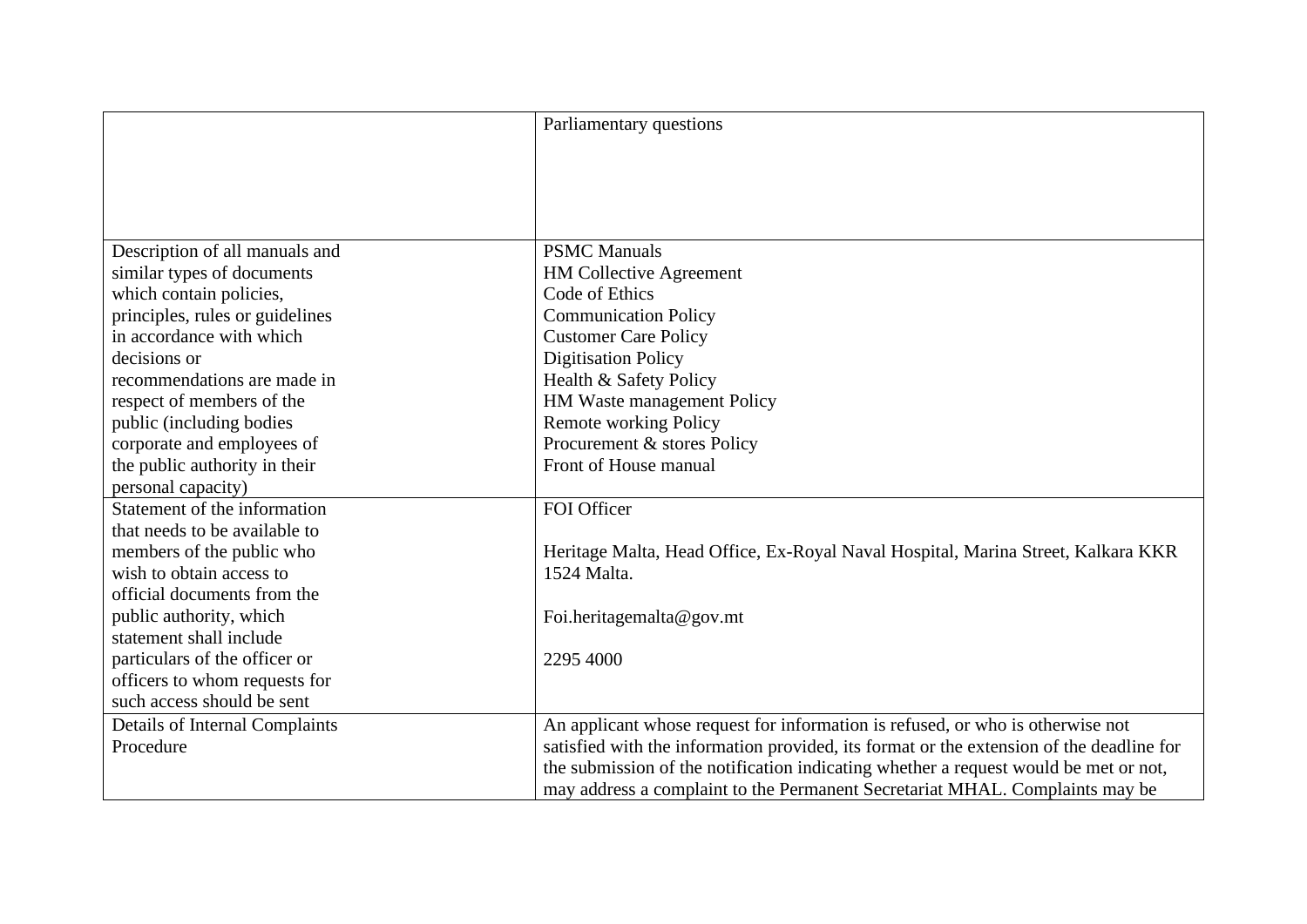|                                 | Parliamentary questions                                                                  |
|---------------------------------|------------------------------------------------------------------------------------------|
|                                 |                                                                                          |
|                                 |                                                                                          |
|                                 |                                                                                          |
|                                 |                                                                                          |
| Description of all manuals and  | <b>PSMC</b> Manuals                                                                      |
| similar types of documents      | <b>HM Collective Agreement</b>                                                           |
| which contain policies,         | Code of Ethics                                                                           |
| principles, rules or guidelines | <b>Communication Policy</b>                                                              |
| in accordance with which        | <b>Customer Care Policy</b>                                                              |
| decisions or                    | <b>Digitisation Policy</b>                                                               |
| recommendations are made in     | Health & Safety Policy                                                                   |
| respect of members of the       | HM Waste management Policy                                                               |
| public (including bodies        | <b>Remote working Policy</b>                                                             |
| corporate and employees of      | Procurement & stores Policy                                                              |
| the public authority in their   | Front of House manual                                                                    |
| personal capacity)              |                                                                                          |
| Statement of the information    | FOI Officer                                                                              |
| that needs to be available to   |                                                                                          |
| members of the public who       | Heritage Malta, Head Office, Ex-Royal Naval Hospital, Marina Street, Kalkara KKR         |
| wish to obtain access to        | 1524 Malta.                                                                              |
| official documents from the     |                                                                                          |
| public authority, which         | Foi.heritagemalta@gov.mt                                                                 |
| statement shall include         |                                                                                          |
| particulars of the officer or   | 2295 4000                                                                                |
| officers to whom requests for   |                                                                                          |
| such access should be sent      |                                                                                          |
| Details of Internal Complaints  | An applicant whose request for information is refused, or who is otherwise not           |
| Procedure                       | satisfied with the information provided, its format or the extension of the deadline for |
|                                 | the submission of the notification indicating whether a request would be met or not,     |
|                                 | may address a complaint to the Permanent Secretariat MHAL. Complaints may be             |